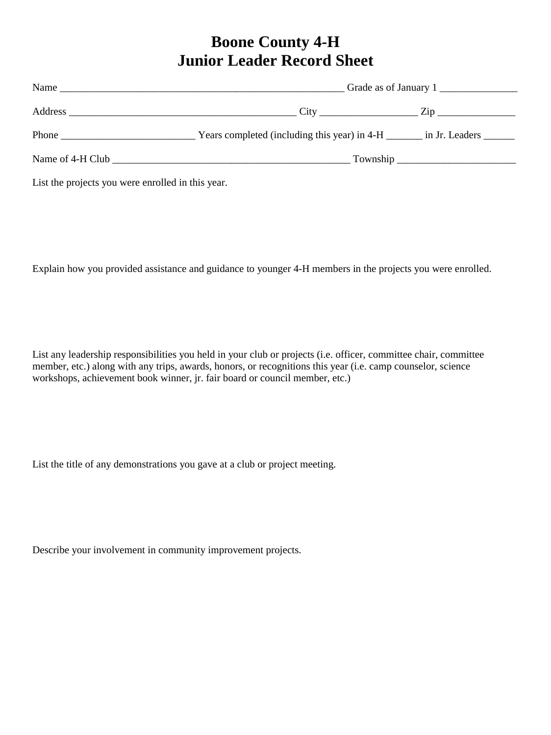## **Boone County 4-H Junior Leader Record Sheet**

|                                                                                                                                                                                                                                                                                                                                                                                                               | Grade as of January 1                                                       |  |  |
|---------------------------------------------------------------------------------------------------------------------------------------------------------------------------------------------------------------------------------------------------------------------------------------------------------------------------------------------------------------------------------------------------------------|-----------------------------------------------------------------------------|--|--|
|                                                                                                                                                                                                                                                                                                                                                                                                               |                                                                             |  |  |
| Phone $\frac{1}{\sqrt{1-\frac{1}{2}}\sqrt{1-\frac{1}{2}}\sqrt{1-\frac{1}{2}}\sqrt{1-\frac{1}{2}}\sqrt{1-\frac{1}{2}}\sqrt{1-\frac{1}{2}}\sqrt{1-\frac{1}{2}}\sqrt{1-\frac{1}{2}}\sqrt{1-\frac{1}{2}}\sqrt{1-\frac{1}{2}}\sqrt{1-\frac{1}{2}}\sqrt{1-\frac{1}{2}}\sqrt{1-\frac{1}{2}}\sqrt{1-\frac{1}{2}}\sqrt{1-\frac{1}{2}}\sqrt{1-\frac{1}{2}}\sqrt{1-\frac{1}{2}}\sqrt{1-\frac{1}{2}}\sqrt{1-\frac{1}{2}}$ | Years completed (including this year) in 4-H ________ in Jr. Leaders ______ |  |  |
|                                                                                                                                                                                                                                                                                                                                                                                                               |                                                                             |  |  |
|                                                                                                                                                                                                                                                                                                                                                                                                               |                                                                             |  |  |

List the projects you were enrolled in this year.

Explain how you provided assistance and guidance to younger 4-H members in the projects you were enrolled.

List any leadership responsibilities you held in your club or projects (i.e. officer, committee chair, committee member, etc.) along with any trips, awards, honors, or recognitions this year (i.e. camp counselor, science workshops, achievement book winner, jr. fair board or council member, etc.)

List the title of any demonstrations you gave at a club or project meeting.

Describe your involvement in community improvement projects.